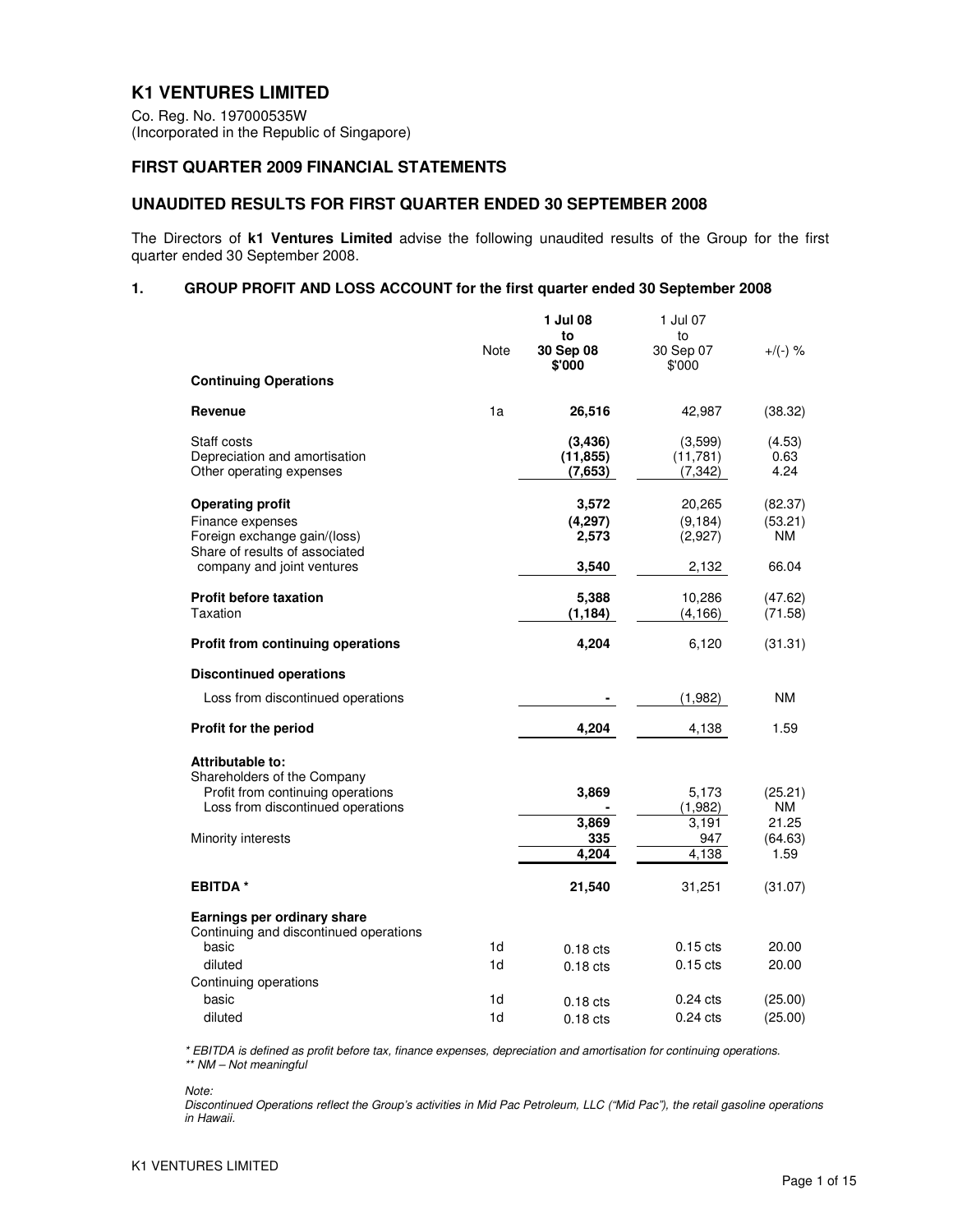# **K1 VENTURES LIMITED**

Co. Reg. No. 197000535W (Incorporated in the Republic of Singapore)

# **FIRST QUARTER 2009 FINANCIAL STATEMENTS**

## **UNAUDITED RESULTS FOR FIRST QUARTER ENDED 30 SEPTEMBER 2008**

The Directors of **k1 Ventures Limited** advise the following unaudited results of the Group for the first quarter ended 30 September 2008.

### **1. GROUP PROFIT AND LOSS ACCOUNT for the first quarter ended 30 September 2008**

|                                                                | Note           | 1 Jul 08<br>to<br>30 Sep 08 | 1 Jul 07<br>to<br>30 Sep 07 | $+$ /(-) %  |
|----------------------------------------------------------------|----------------|-----------------------------|-----------------------------|-------------|
|                                                                |                | \$'000                      | \$'000                      |             |
| <b>Continuing Operations</b>                                   |                |                             |                             |             |
| Revenue                                                        | 1a             | 26,516                      | 42,987                      | (38.32)     |
| Staff costs                                                    |                | (3, 436)                    | (3,599)                     | (4.53)      |
| Depreciation and amortisation                                  |                | (11, 855)                   | (11, 781)                   | 0.63        |
| Other operating expenses                                       |                | (7,653)                     | (7.342)                     | 4.24        |
| <b>Operating profit</b>                                        |                | 3,572                       | 20,265                      | (82.37)     |
| Finance expenses                                               |                | (4, 297)                    | (9, 184)                    | (53.21)     |
| Foreign exchange gain/(loss)<br>Share of results of associated |                | 2,573                       | (2,927)                     | NM          |
| company and joint ventures                                     |                | 3,540                       | 2,132                       | 66.04       |
| <b>Profit before taxation</b>                                  |                | 5,388                       | 10,286                      | (47.62)     |
| Taxation                                                       |                | (1, 184)                    | (4, 166)                    | (71.58)     |
| <b>Profit from continuing operations</b>                       |                | 4,204                       | 6,120                       | (31.31)     |
| <b>Discontinued operations</b>                                 |                |                             |                             |             |
| Loss from discontinued operations                              |                |                             | (1,982)                     | NM          |
| Profit for the period                                          |                | 4,204                       | 4,138                       | 1.59        |
| Attributable to:                                               |                |                             |                             |             |
| Shareholders of the Company                                    |                |                             |                             |             |
| Profit from continuing operations                              |                | 3,869                       | 5,173                       | (25.21)     |
| Loss from discontinued operations                              |                | 3,869                       | (1,982)<br>3,191            | NM<br>21.25 |
| Minority interests                                             |                | 335                         | 947                         | (64.63)     |
|                                                                |                | 4,204                       | 4,138                       | 1.59        |
| <b>EBITDA*</b>                                                 |                | 21,540                      | 31,251                      | (31.07)     |
| Earnings per ordinary share                                    |                |                             |                             |             |
| Continuing and discontinued operations                         |                |                             |                             |             |
| basic                                                          | 1d             | $0.18$ cts                  | $0.15$ cts                  | 20.00       |
| diluted                                                        | 1d             | $0.18$ cts                  | $0.15$ cts                  | 20.00       |
| Continuing operations<br>basic                                 | 1 <sub>d</sub> |                             | $0.24$ cts                  | (25.00)     |
| diluted                                                        | 1d             | $0.18$ cts<br>$0.18$ cts    | $0.24$ cts                  | (25.00)     |
|                                                                |                |                             |                             |             |

\* EBITDA is defined as profit before tax, finance expenses, depreciation and amortisation for continuing operations. \*\* NM – Not meaningful

Note:

Discontinued Operations reflect the Group's activities in Mid Pac Petroleum, LLC ("Mid Pac"), the retail gasoline operations in Hawaii.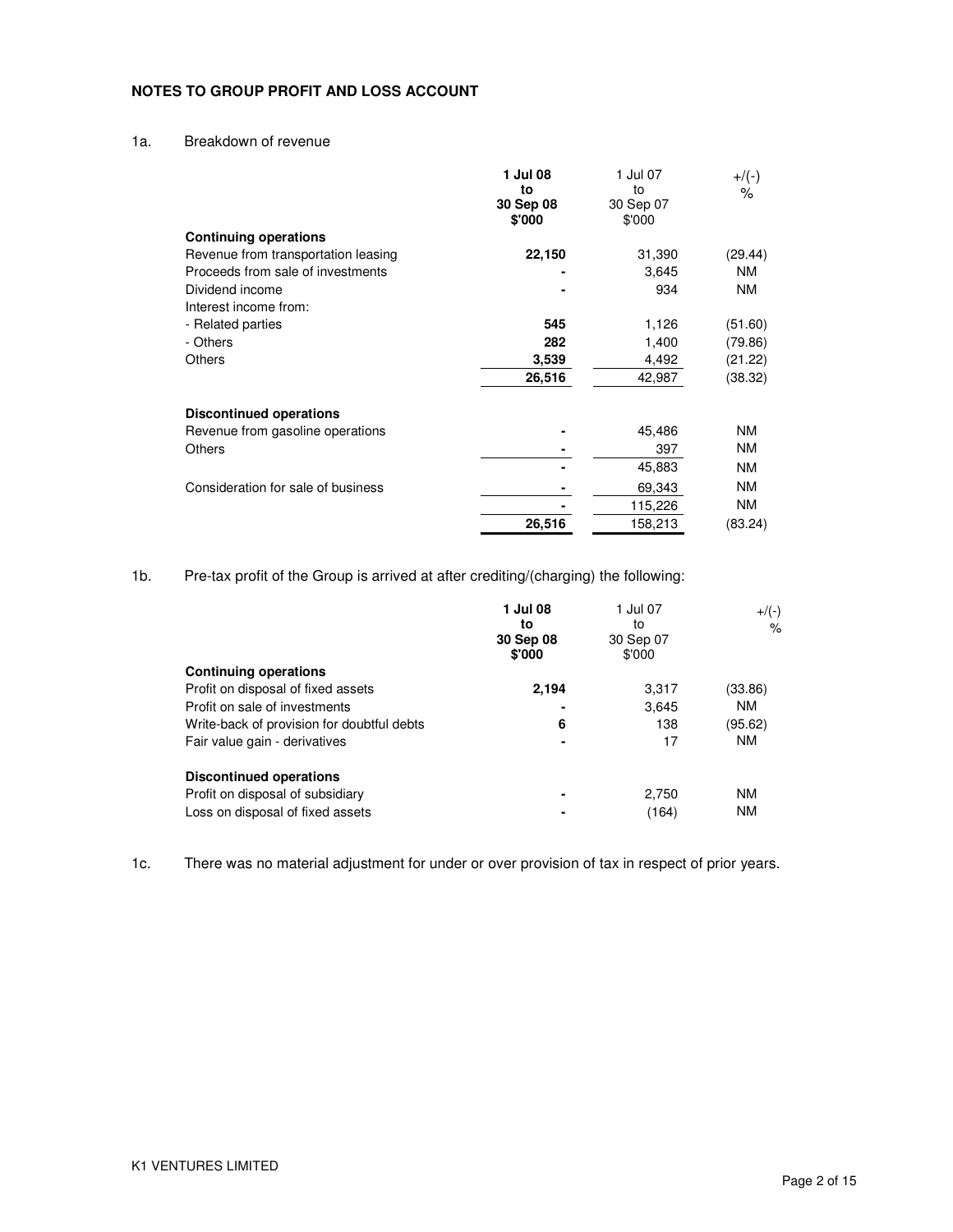## **NOTES TO GROUP PROFIT AND LOSS ACCOUNT**

# 1a. Breakdown of revenue

|                                     | 1 Jul 08<br>to      | 1 Jul 07<br>to      | $+$ /(-)<br>$\%$ |
|-------------------------------------|---------------------|---------------------|------------------|
|                                     | 30 Sep 08<br>\$'000 | 30 Sep 07<br>\$'000 |                  |
| <b>Continuing operations</b>        |                     |                     |                  |
| Revenue from transportation leasing | 22,150              | 31,390              | (29.44)          |
| Proceeds from sale of investments   |                     | 3,645               | <b>NM</b>        |
| Dividend income                     |                     | 934                 | <b>NM</b>        |
| Interest income from:               |                     |                     |                  |
| - Related parties                   | 545                 | 1,126               | (51.60)          |
| - Others                            | 282                 | 1,400               | (79.86)          |
| <b>Others</b>                       | 3.539               | 4,492               | (21.22)          |
|                                     | 26,516              | 42,987              | (38.32)          |
| <b>Discontinued operations</b>      |                     |                     |                  |
| Revenue from gasoline operations    |                     | 45,486              | <b>NM</b>        |
| <b>Others</b>                       |                     | 397                 | <b>NM</b>        |
|                                     |                     | 45,883              | <b>NM</b>        |
| Consideration for sale of business  |                     | 69,343              | <b>NM</b>        |
|                                     |                     | 115,226             | <b>NM</b>        |
|                                     | 26,516              | 158,213             | (83.24)          |
|                                     |                     |                     |                  |

1b. Pre-tax profit of the Group is arrived at after crediting/(charging) the following:

|                                            | 1 Jul 08<br>to<br>30 Sep 08<br>\$'000 | 1 Jul 07<br>to<br>30 Sep 07<br>\$'000 | $+/(-)$<br>% |
|--------------------------------------------|---------------------------------------|---------------------------------------|--------------|
| <b>Continuing operations</b>               |                                       |                                       |              |
| Profit on disposal of fixed assets         | 2,194                                 | 3.317                                 | (33.86)      |
| Profit on sale of investments              |                                       | 3,645                                 | <b>NM</b>    |
| Write-back of provision for doubtful debts | 6                                     | 138                                   | (95.62)      |
| Fair value gain - derivatives              |                                       | 17                                    | <b>NM</b>    |
| Discontinued operations                    |                                       |                                       |              |
| Profit on disposal of subsidiary           |                                       | 2.750                                 | <b>NM</b>    |
| Loss on disposal of fixed assets           |                                       | (164)                                 | <b>NM</b>    |

1c. There was no material adjustment for under or over provision of tax in respect of prior years.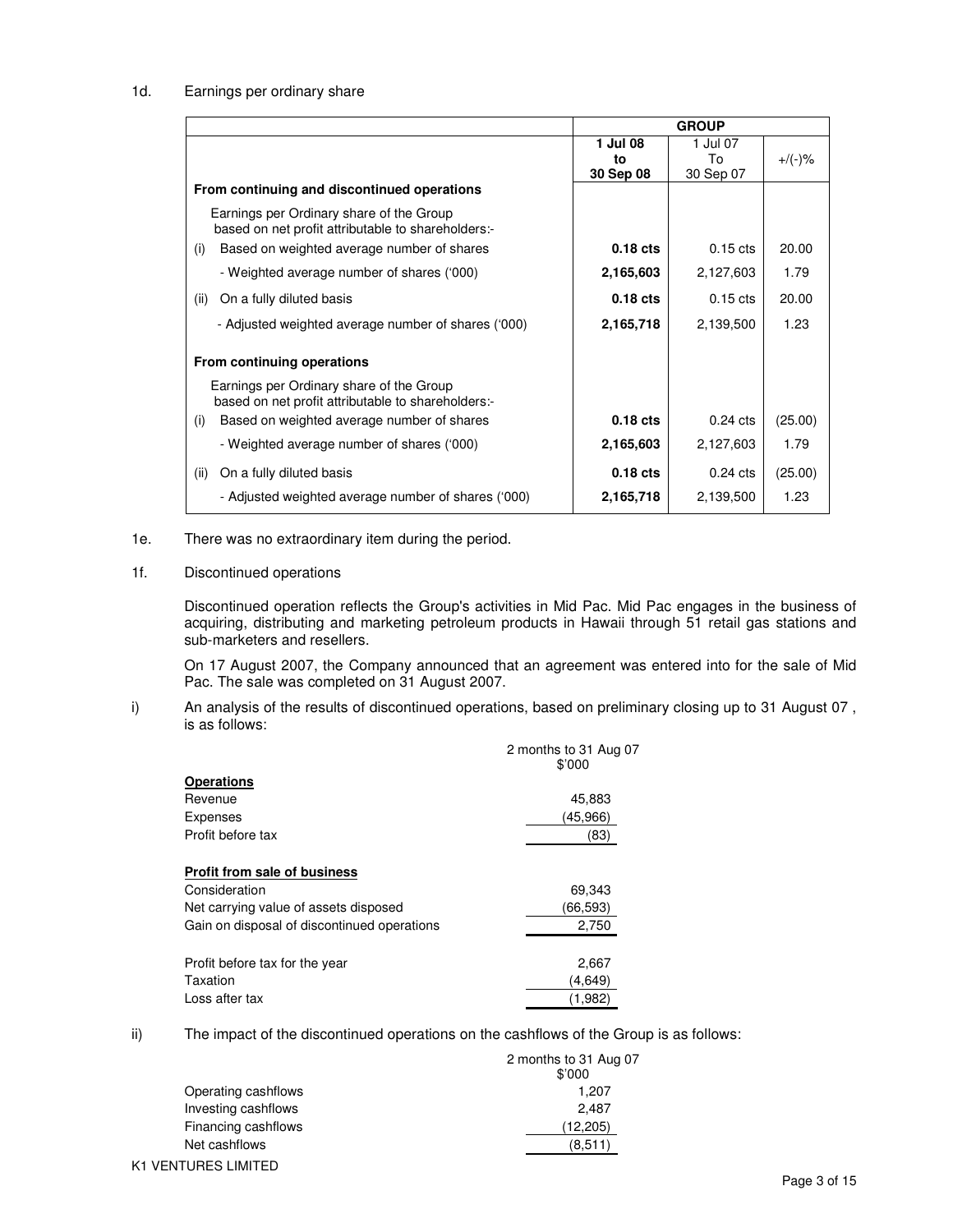### 1d. Earnings per ordinary share

|                                                                                                | <b>GROUP</b> |            |           |
|------------------------------------------------------------------------------------------------|--------------|------------|-----------|
|                                                                                                | 1 Jul 08     | 1 Jul 07   |           |
|                                                                                                | to           | To         | $+$ /(-)% |
|                                                                                                | 30 Sep 08    | 30 Sep 07  |           |
| From continuing and discontinued operations                                                    |              |            |           |
| Earnings per Ordinary share of the Group<br>based on net profit attributable to shareholders:- |              |            |           |
| Based on weighted average number of shares<br>(i)                                              | $0.18$ cts   | $0.15$ cts | 20.00     |
| - Weighted average number of shares ('000)                                                     | 2,165,603    | 2,127,603  | 1.79      |
| (ii)<br>On a fully diluted basis                                                               | $0.18$ cts   | $0.15$ cts | 20.00     |
| - Adjusted weighted average number of shares ('000)                                            | 2,165,718    | 2,139,500  | 1.23      |
| From continuing operations                                                                     |              |            |           |
| Earnings per Ordinary share of the Group<br>based on net profit attributable to shareholders:- |              |            |           |
| Based on weighted average number of shares<br>(i)                                              | $0.18$ cts   | $0.24$ cts | (25.00)   |
| - Weighted average number of shares ('000)                                                     | 2,165,603    | 2,127,603  | 1.79      |
| On a fully diluted basis<br>(ii)                                                               | $0.18$ cts   | $0.24$ cts | (25.00)   |
| - Adjusted weighted average number of shares ('000)                                            | 2,165,718    | 2,139,500  | 1.23      |

## 1e. There was no extraordinary item during the period.

## 1f. Discontinued operations

 Discontinued operation reflects the Group's activities in Mid Pac. Mid Pac engages in the business of acquiring, distributing and marketing petroleum products in Hawaii through 51 retail gas stations and sub-marketers and resellers.

 On 17 August 2007, the Company announced that an agreement was entered into for the sale of Mid Pac. The sale was completed on 31 August 2007.

07

i) An analysis of the results of discontinued operations, based on preliminary closing up to 31 August 07, is as follows:

|                                             | 2 months to 31 Aug 07<br>\$'000 |
|---------------------------------------------|---------------------------------|
| <b>Operations</b>                           |                                 |
| Revenue                                     | 45,883                          |
| <b>Expenses</b>                             | (45,966)                        |
| Profit before tax                           | (83)                            |
| <b>Profit from sale of business</b>         |                                 |
| Consideration                               | 69,343                          |
| Net carrying value of assets disposed       | (66,593)                        |
| Gain on disposal of discontinued operations | 2,750                           |
| Profit before tax for the year              | 2,667                           |
| Taxation                                    | (4,649)                         |
| Loss after tax                              | (1.982)                         |

ii) The impact of the discontinued operations on the cashflows of the Group is as follows:

|                     | 2 months to 31 Aug<br>\$'000 |
|---------------------|------------------------------|
| Operating cashflows | 1.207                        |
| Investing cashflows | 2.487                        |
| Financing cashflows | (12,205)                     |
| Net cashflows       | (8,511)                      |
| K1 VENTURES LIMITED |                              |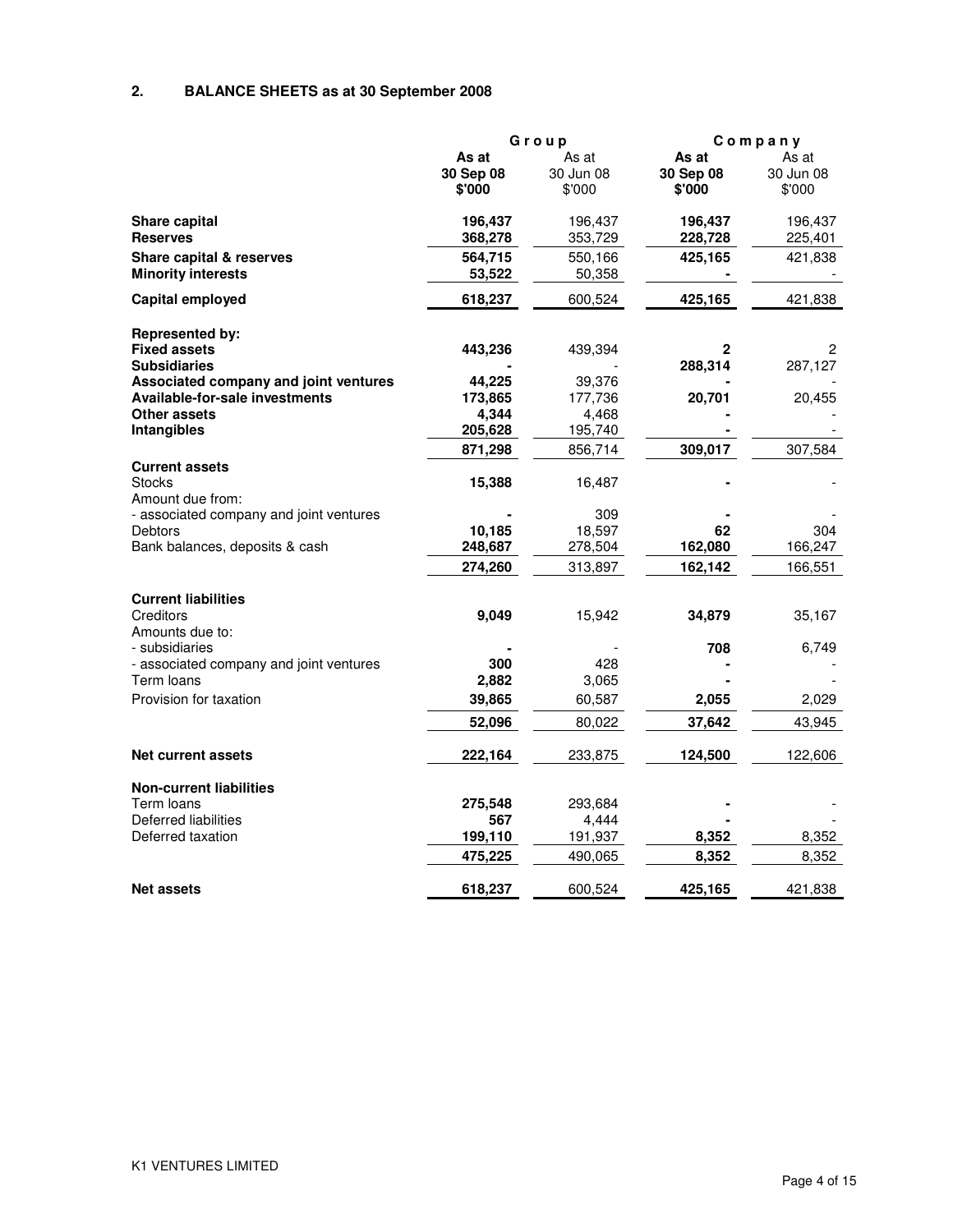# **2. BALANCE SHEETS as at 30 September 2008**

|                                                            | Group     |           |           | Company   |  |
|------------------------------------------------------------|-----------|-----------|-----------|-----------|--|
|                                                            | As at     | As at     | As at     | As at     |  |
|                                                            | 30 Sep 08 | 30 Jun 08 | 30 Sep 08 | 30 Jun 08 |  |
|                                                            | \$'000    | \$'000    | \$'000    | \$'000    |  |
| <b>Share capital</b>                                       | 196,437   | 196,437   | 196,437   | 196,437   |  |
| <b>Reserves</b>                                            | 368,278   | 353,729   | 228,728   | 225,401   |  |
| Share capital & reserves                                   | 564,715   | 550,166   | 425,165   | 421,838   |  |
| <b>Minority interests</b>                                  | 53,522    | 50,358    |           |           |  |
| Capital employed                                           | 618,237   | 600,524   | 425,165   | 421,838   |  |
| Represented by:                                            |           |           |           |           |  |
| <b>Fixed assets</b>                                        | 443,236   | 439,394   | 2         | 2         |  |
| <b>Subsidiaries</b>                                        |           |           | 288,314   | 287,127   |  |
| Associated company and joint ventures                      | 44,225    | 39,376    |           |           |  |
| Available-for-sale investments                             | 173,865   | 177,736   | 20,701    | 20,455    |  |
| Other assets                                               | 4,344     | 4,468     |           |           |  |
| Intangibles                                                | 205,628   | 195,740   |           |           |  |
|                                                            | 871,298   | 856,714   | 309,017   | 307,584   |  |
| <b>Current assets</b><br><b>Stocks</b><br>Amount due from: | 15,388    | 16,487    |           |           |  |
| - associated company and joint ventures                    |           | 309       |           |           |  |
| <b>Debtors</b>                                             | 10,185    | 18,597    | 62        | 304       |  |
| Bank balances, deposits & cash                             | 248,687   | 278,504   | 162,080   | 166,247   |  |
|                                                            | 274,260   | 313,897   | 162,142   | 166,551   |  |
| <b>Current liabilities</b>                                 |           |           |           |           |  |
| Creditors                                                  | 9,049     | 15,942    | 34,879    | 35,167    |  |
| Amounts due to:                                            |           |           |           |           |  |
| - subsidiaries                                             |           |           | 708       | 6,749     |  |
| - associated company and joint ventures                    | 300       | 428       |           |           |  |
| Term Ioans                                                 | 2,882     | 3,065     |           |           |  |
| Provision for taxation                                     | 39,865    | 60,587    | 2,055     | 2,029     |  |
|                                                            | 52,096    | 80,022    | 37,642    | 43,945    |  |
| <b>Net current assets</b>                                  | 222,164   | 233,875   | 124,500   | 122,606   |  |
|                                                            |           |           |           |           |  |
| <b>Non-current liabilities</b>                             |           |           |           |           |  |
| Term Ioans                                                 | 275,548   | 293,684   |           |           |  |
| Deferred liabilities                                       | 567       | 4,444     |           |           |  |
| Deferred taxation                                          | 199,110   | 191,937   | 8,352     | 8,352     |  |
|                                                            | 475,225   | 490,065   | 8,352     | 8,352     |  |
| <b>Net assets</b>                                          | 618,237   | 600,524   | 425,165   | 421,838   |  |
|                                                            |           |           |           |           |  |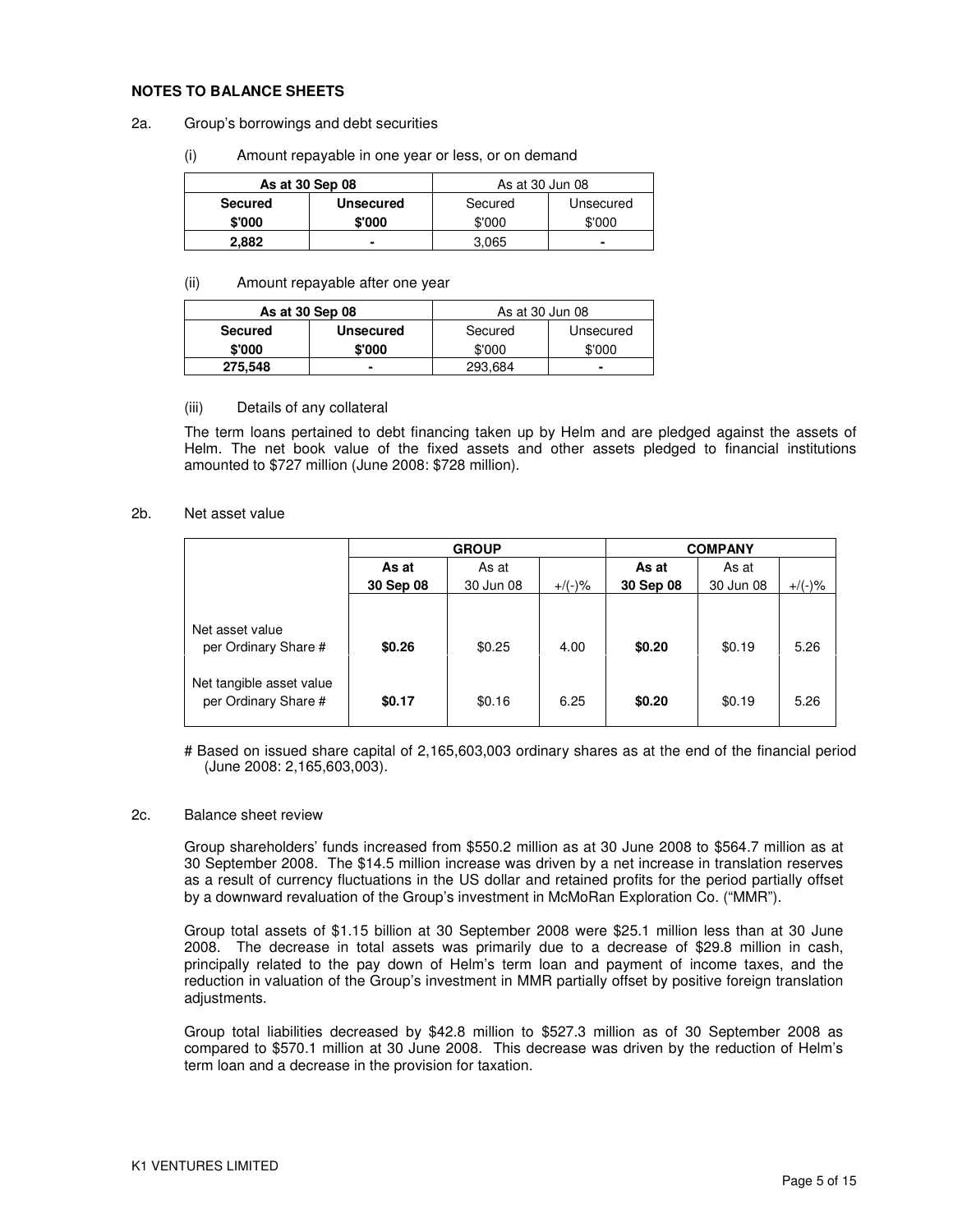### **NOTES TO BALANCE SHEETS**

### 2a. Group's borrowings and debt securities

(i) Amount repayable in one year or less, or on demand

| As at 30 Sep 08 |                  | As at 30 Jun 08 |           |  |
|-----------------|------------------|-----------------|-----------|--|
| <b>Secured</b>  | <b>Unsecured</b> | Secured         | Unsecured |  |
| \$'000          | \$'000           | \$'000          | \$'000    |  |
| 2.882           |                  | 3.065           |           |  |

### (ii) Amount repayable after one year

| As at 30 Sep 08<br>As at 30 Jun 08 |                  |         |           |
|------------------------------------|------------------|---------|-----------|
| <b>Secured</b>                     | <b>Unsecured</b> | Secured | Unsecured |
| \$'000                             | \$'000           | \$'000  | \$'000    |
| 275.548                            |                  | 293,684 |           |

### (iii) Details of any collateral

The term loans pertained to debt financing taken up by Helm and are pledged against the assets of Helm. The net book value of the fixed assets and other assets pledged to financial institutions amounted to \$727 million (June 2008: \$728 million).

### 2b. Net asset value

|                                                  | <b>GROUP</b> |           | <b>COMPANY</b> |           |           |           |
|--------------------------------------------------|--------------|-----------|----------------|-----------|-----------|-----------|
|                                                  | As at        | As at     |                | As at     | As at     |           |
|                                                  | 30 Sep 08    | 30 Jun 08 | $+$ /(-)%      | 30 Sep 08 | 30 Jun 08 | $+/(-)$ % |
|                                                  |              |           |                |           |           |           |
| Net asset value<br>per Ordinary Share #          | \$0.26       | \$0.25    | 4.00           | \$0.20    | \$0.19    | 5.26      |
| Net tangible asset value<br>per Ordinary Share # | \$0.17       | \$0.16    | 6.25           | \$0.20    | \$0.19    | 5.26      |

# Based on issued share capital of 2,165,603,003 ordinary shares as at the end of the financial period (June 2008: 2,165,603,003).

## 2c. Balance sheet review

Group shareholders' funds increased from \$550.2 million as at 30 June 2008 to \$564.7 million as at 30 September 2008. The \$14.5 million increase was driven by a net increase in translation reserves as a result of currency fluctuations in the US dollar and retained profits for the period partially offset by a downward revaluation of the Group's investment in McMoRan Exploration Co. ("MMR").

Group total assets of \$1.15 billion at 30 September 2008 were \$25.1 million less than at 30 June 2008. The decrease in total assets was primarily due to a decrease of \$29.8 million in cash, principally related to the pay down of Helm's term loan and payment of income taxes, and the reduction in valuation of the Group's investment in MMR partially offset by positive foreign translation adjustments.

Group total liabilities decreased by \$42.8 million to \$527.3 million as of 30 September 2008 as compared to \$570.1 million at 30 June 2008. This decrease was driven by the reduction of Helm's term loan and a decrease in the provision for taxation.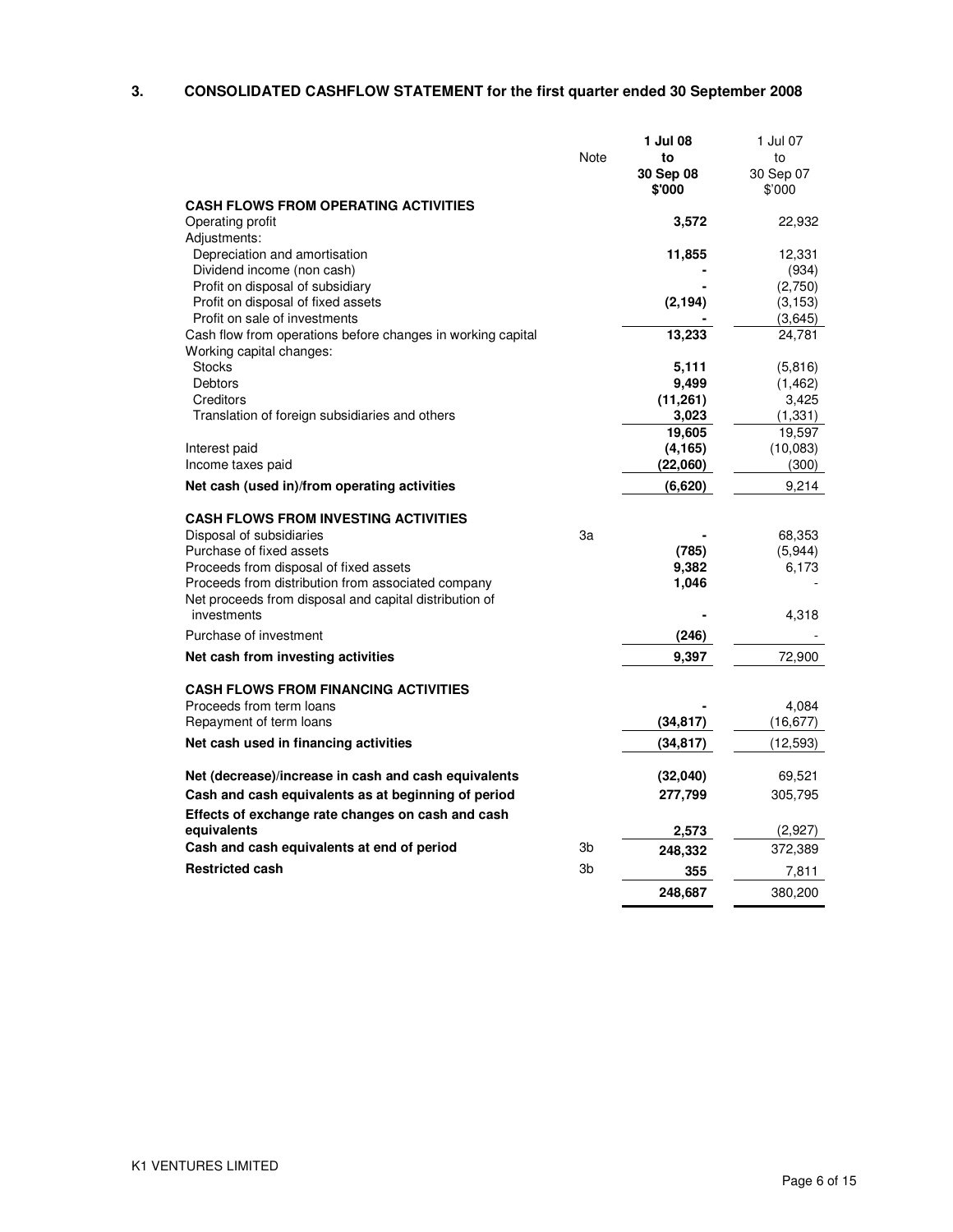# **3. CONSOLIDATED CASHFLOW STATEMENT for the first quarter ended 30 September 2008**

|                                                                         |      | 1 Jul 08        | 1 Jul 07          |
|-------------------------------------------------------------------------|------|-----------------|-------------------|
|                                                                         | Note | to<br>30 Sep 08 | to<br>30 Sep 07   |
|                                                                         |      | \$'000          | \$'000            |
| <b>CASH FLOWS FROM OPERATING ACTIVITIES</b>                             |      |                 |                   |
| Operating profit                                                        |      | 3,572           | 22,932            |
| Adjustments:                                                            |      |                 |                   |
| Depreciation and amortisation                                           |      | 11,855          | 12,331            |
| Dividend income (non cash)                                              |      |                 | (934)             |
| Profit on disposal of subsidiary                                        |      |                 | (2,750)           |
| Profit on disposal of fixed assets<br>Profit on sale of investments     |      | (2, 194)        | (3, 153)          |
| Cash flow from operations before changes in working capital             |      | 13,233          | (3,645)<br>24,781 |
| Working capital changes:                                                |      |                 |                   |
| <b>Stocks</b>                                                           |      | 5,111           | (5, 816)          |
| Debtors                                                                 |      | 9,499           | (1, 462)          |
| Creditors                                                               |      | (11, 261)       | 3,425             |
| Translation of foreign subsidiaries and others                          |      | 3,023           | (1, 331)          |
|                                                                         |      | 19,605          | 19,597            |
| Interest paid                                                           |      | (4, 165)        | (10,083)          |
| Income taxes paid                                                       |      | (22,060)        | (300)             |
| Net cash (used in)/from operating activities                            |      | (6,620)         | 9,214             |
|                                                                         |      |                 |                   |
| <b>CASH FLOWS FROM INVESTING ACTIVITIES</b><br>Disposal of subsidiaries | 3a   |                 |                   |
| Purchase of fixed assets                                                |      | (785)           | 68,353<br>(5,944) |
| Proceeds from disposal of fixed assets                                  |      | 9,382           | 6,173             |
| Proceeds from distribution from associated company                      |      | 1,046           |                   |
| Net proceeds from disposal and capital distribution of                  |      |                 |                   |
| investments                                                             |      |                 | 4,318             |
| Purchase of investment                                                  |      | (246)           |                   |
| Net cash from investing activities                                      |      | 9,397           | 72,900            |
|                                                                         |      |                 |                   |
| <b>CASH FLOWS FROM FINANCING ACTIVITIES</b>                             |      |                 |                   |
| Proceeds from term loans                                                |      |                 | 4,084             |
| Repayment of term loans                                                 |      | (34, 817)       | (16, 677)         |
| Net cash used in financing activities                                   |      | (34, 817)       | (12, 593)         |
| Net (decrease)/increase in cash and cash equivalents                    |      | (32,040)        | 69,521            |
| Cash and cash equivalents as at beginning of period                     |      | 277,799         | 305,795           |
| Effects of exchange rate changes on cash and cash                       |      |                 |                   |
| equivalents                                                             |      | 2,573           | (2,927)           |
| Cash and cash equivalents at end of period                              | 3b   | 248,332         | 372,389           |
| <b>Restricted cash</b>                                                  | 3b   |                 |                   |
|                                                                         |      | 355             | 7,811             |
|                                                                         |      | 248,687         | 380,200           |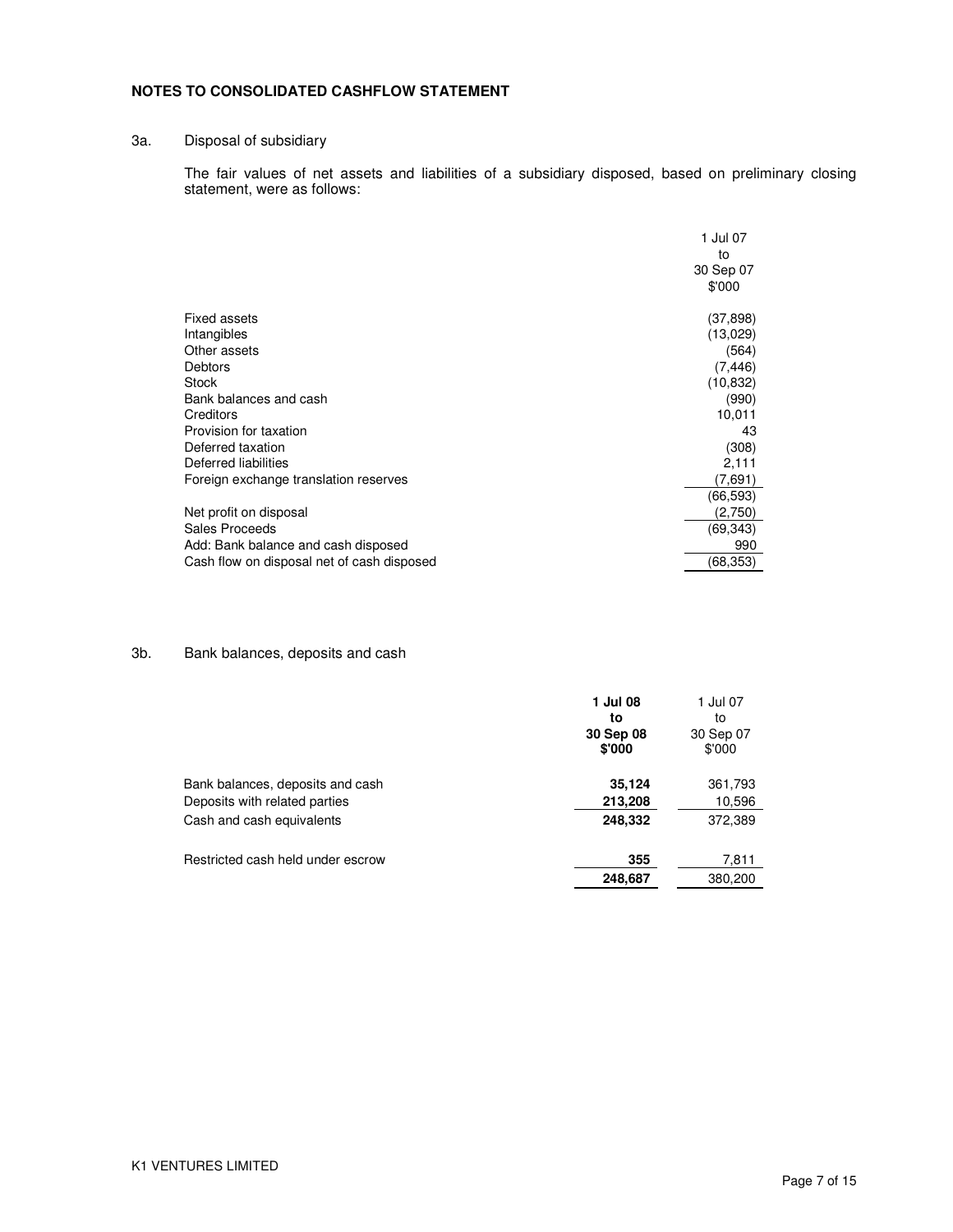## **NOTES TO CONSOLIDATED CASHFLOW STATEMENT**

# 3a. Disposal of subsidiary

The fair values of net assets and liabilities of a subsidiary disposed, based on preliminary closing statement, were as follows:

|                                            | 1 Jul 07  |
|--------------------------------------------|-----------|
|                                            | to        |
|                                            | 30 Sep 07 |
|                                            | \$'000    |
| Fixed assets                               | (37,898)  |
|                                            |           |
| Intangibles                                | (13,029)  |
| Other assets                               | (564)     |
| <b>Debtors</b>                             | (7, 446)  |
| <b>Stock</b>                               | (10, 832) |
| Bank balances and cash                     | (990)     |
| Creditors                                  | 10.011    |
| Provision for taxation                     | 43        |
| Deferred taxation                          | (308)     |
| Deferred liabilities                       | 2,111     |
| Foreign exchange translation reserves      | (7,691)   |
|                                            | (66,593)  |
| Net profit on disposal                     | (2,750)   |
| Sales Proceeds                             | (69, 343) |
| Add: Bank balance and cash disposed        | 990       |
| Cash flow on disposal net of cash disposed | (68,353)  |

### 3b. Bank balances, deposits and cash

|                                                                   | 1 Jul 08<br>to<br>30 Sep 08<br>\$'000 | 1 Jul 07<br>to<br>30 Sep 07<br>\$'000 |
|-------------------------------------------------------------------|---------------------------------------|---------------------------------------|
| Bank balances, deposits and cash<br>Deposits with related parties | 35,124<br>213,208                     | 361,793<br>10,596                     |
| Cash and cash equivalents                                         | 248,332                               | 372,389                               |
| Restricted cash held under escrow                                 | 355                                   | 7,811                                 |
|                                                                   | 248,687                               | 380,200                               |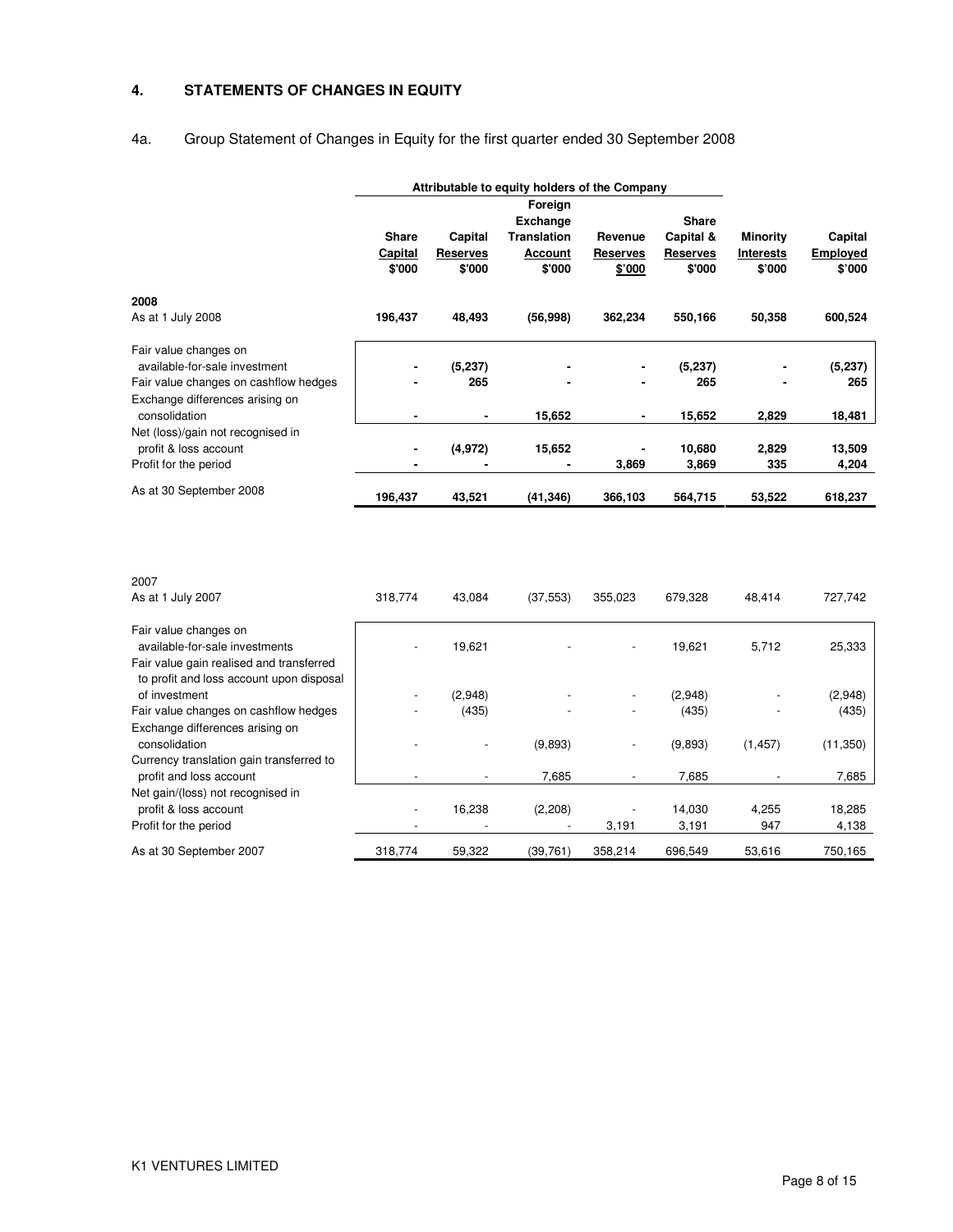# **4. STATEMENTS OF CHANGES IN EQUITY**

# 4a. Group Statement of Changes in Equity for the first quarter ended 30 September 2008

|                                       | Attributable to equity holders of the Company |                 |                    |                 |                 |           |                 |
|---------------------------------------|-----------------------------------------------|-----------------|--------------------|-----------------|-----------------|-----------|-----------------|
|                                       | Foreign                                       |                 |                    |                 |                 |           |                 |
|                                       |                                               |                 |                    |                 |                 |           |                 |
|                                       | <b>Share</b>                                  | Capital         | <b>Translation</b> | Revenue         | Capital &       | Minority  | Capital         |
|                                       | Capital                                       | <b>Reserves</b> | <b>Account</b>     | <b>Reserves</b> | <b>Reserves</b> | Interests | <b>Employed</b> |
|                                       | \$'000                                        | \$'000          | \$'000             | \$'000          | \$'000          | \$'000    | \$'000          |
| 2008                                  |                                               |                 |                    |                 |                 |           |                 |
| As at 1 July 2008                     | 196,437                                       | 48,493          | (56,998)           | 362,234         | 550,166         | 50,358    | 600,524         |
| Fair value changes on                 |                                               |                 |                    |                 |                 |           |                 |
| available-for-sale investment         |                                               | (5, 237)        |                    | ۰               | (5, 237)        |           | (5, 237)        |
| Fair value changes on cashflow hedges |                                               | 265             |                    | ٠               | 265             |           | 265             |
| Exchange differences arising on       |                                               |                 |                    |                 |                 |           |                 |
| consolidation                         | ۰                                             | ٠               | 15,652             | ۰               | 15,652          | 2,829     | 18,481          |
| Net (loss)/gain not recognised in     |                                               |                 |                    |                 |                 |           |                 |
| profit & loss account                 |                                               | (4,972)         | 15,652             |                 | 10,680          | 2,829     | 13,509          |
| Profit for the period                 | ۰                                             |                 | ۰                  | 3,869           | 3,869           | 335       | 4,204           |
| As at 30 September 2008               | 196,437                                       | 43,521          | (41, 346)          | 366,103         | 564,715         | 53,522    | 618,237         |

| 2007                                     |         |         |           |                          |         |          |           |
|------------------------------------------|---------|---------|-----------|--------------------------|---------|----------|-----------|
| As at 1 July 2007                        | 318,774 | 43,084  | (37, 553) | 355,023                  | 679,328 | 48,414   | 727,742   |
| Fair value changes on                    |         |         |           |                          |         |          |           |
| available-for-sale investments           |         | 19,621  |           | $\overline{\phantom{a}}$ | 19,621  | 5,712    | 25,333    |
| Fair value gain realised and transferred |         |         |           |                          |         |          |           |
| to profit and loss account upon disposal |         |         |           |                          |         |          |           |
| of investment                            |         | (2,948) |           |                          | (2,948) |          | (2,948)   |
| Fair value changes on cashflow hedges    |         | (435)   |           |                          | (435)   |          | (435)     |
| Exchange differences arising on          |         |         |           |                          |         |          |           |
| consolidation                            |         |         | (9,893)   |                          | (9,893) | (1, 457) | (11, 350) |
| Currency translation gain transferred to |         |         |           |                          |         |          |           |
| profit and loss account                  |         |         | 7,685     |                          | 7,685   |          | 7,685     |
| Net gain/(loss) not recognised in        |         |         |           |                          |         |          |           |
| profit & loss account                    |         | 16,238  | (2,208)   |                          | 14,030  | 4,255    | 18,285    |
| Profit for the period                    |         |         |           | 3,191                    | 3,191   | 947      | 4,138     |
| As at 30 September 2007                  | 318,774 | 59,322  | (39,761)  | 358,214                  | 696,549 | 53,616   | 750,165   |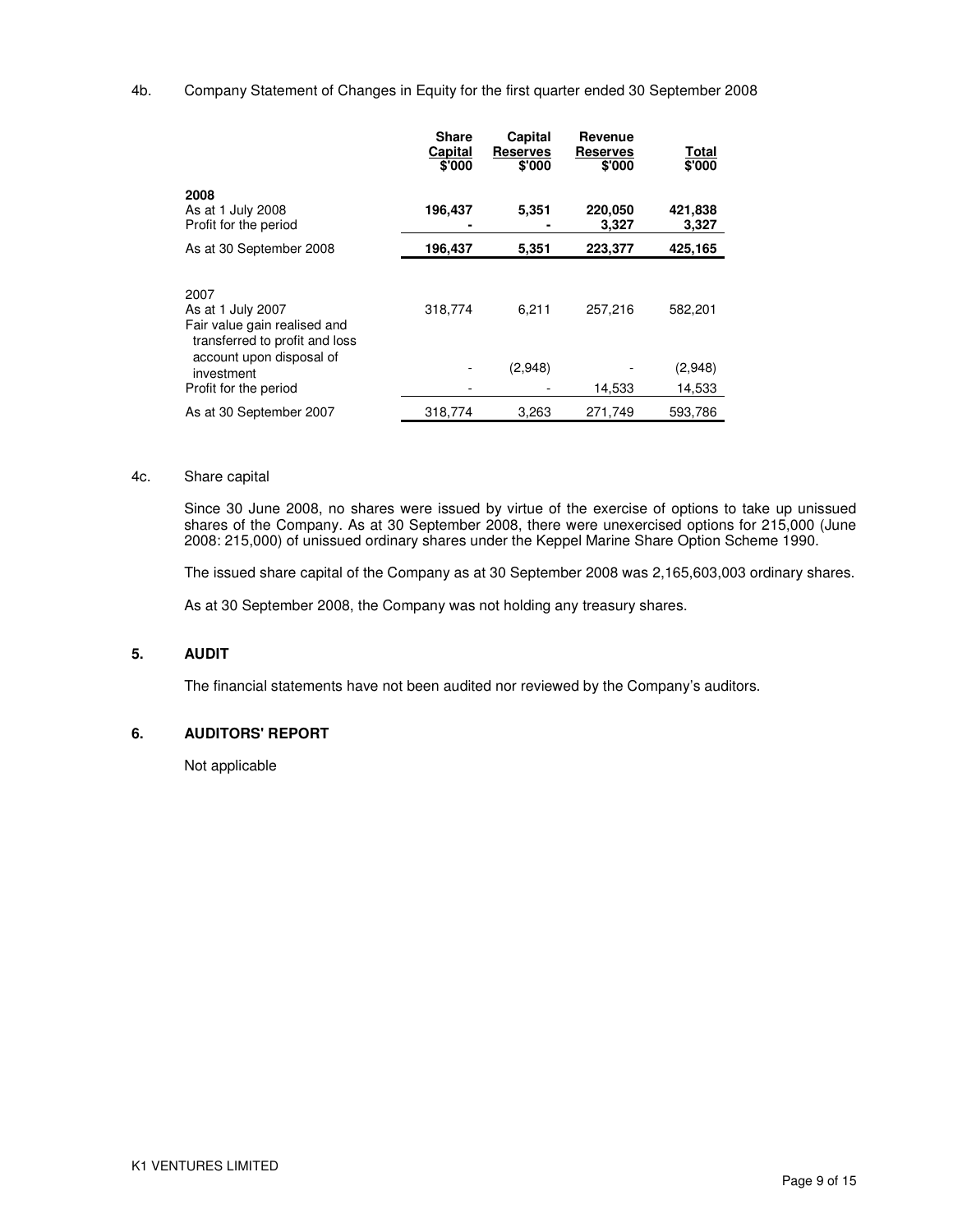4b. Company Statement of Changes in Equity for the first quarter ended 30 September 2008

|                                                                                                                         | <b>Share</b><br>Capital<br>\$'000 | Capital<br><b>Reserves</b><br>\$'000 | Revenue<br><b>Reserves</b><br>\$'000 | Total<br>\$'000  |
|-------------------------------------------------------------------------------------------------------------------------|-----------------------------------|--------------------------------------|--------------------------------------|------------------|
| 2008<br>As at 1 July 2008<br>Profit for the period                                                                      | 196,437                           | 5,351                                | 220,050<br>3.327                     | 421,838<br>3,327 |
| As at 30 September 2008                                                                                                 | 196,437                           | 5,351                                | 223,377                              | 425,165          |
| 2007<br>As at 1 July 2007<br>Fair value gain realised and<br>transferred to profit and loss<br>account upon disposal of | 318,774                           | 6,211                                | 257,216                              | 582,201          |
| investment                                                                                                              |                                   | (2,948)                              |                                      | (2,948)          |
| Profit for the period                                                                                                   |                                   |                                      | 14,533                               | 14,533           |
| As at 30 September 2007                                                                                                 | 318,774                           | 3.263                                | 271.749                              | 593,786          |

### 4c. Share capital

Since 30 June 2008, no shares were issued by virtue of the exercise of options to take up unissued shares of the Company. As at 30 September 2008, there were unexercised options for 215,000 (June 2008: 215,000) of unissued ordinary shares under the Keppel Marine Share Option Scheme 1990.

The issued share capital of the Company as at 30 September 2008 was 2,165,603,003 ordinary shares.

As at 30 September 2008, the Company was not holding any treasury shares.

### **5. AUDIT**

The financial statements have not been audited nor reviewed by the Company's auditors.

### **6. AUDITORS' REPORT**

Not applicable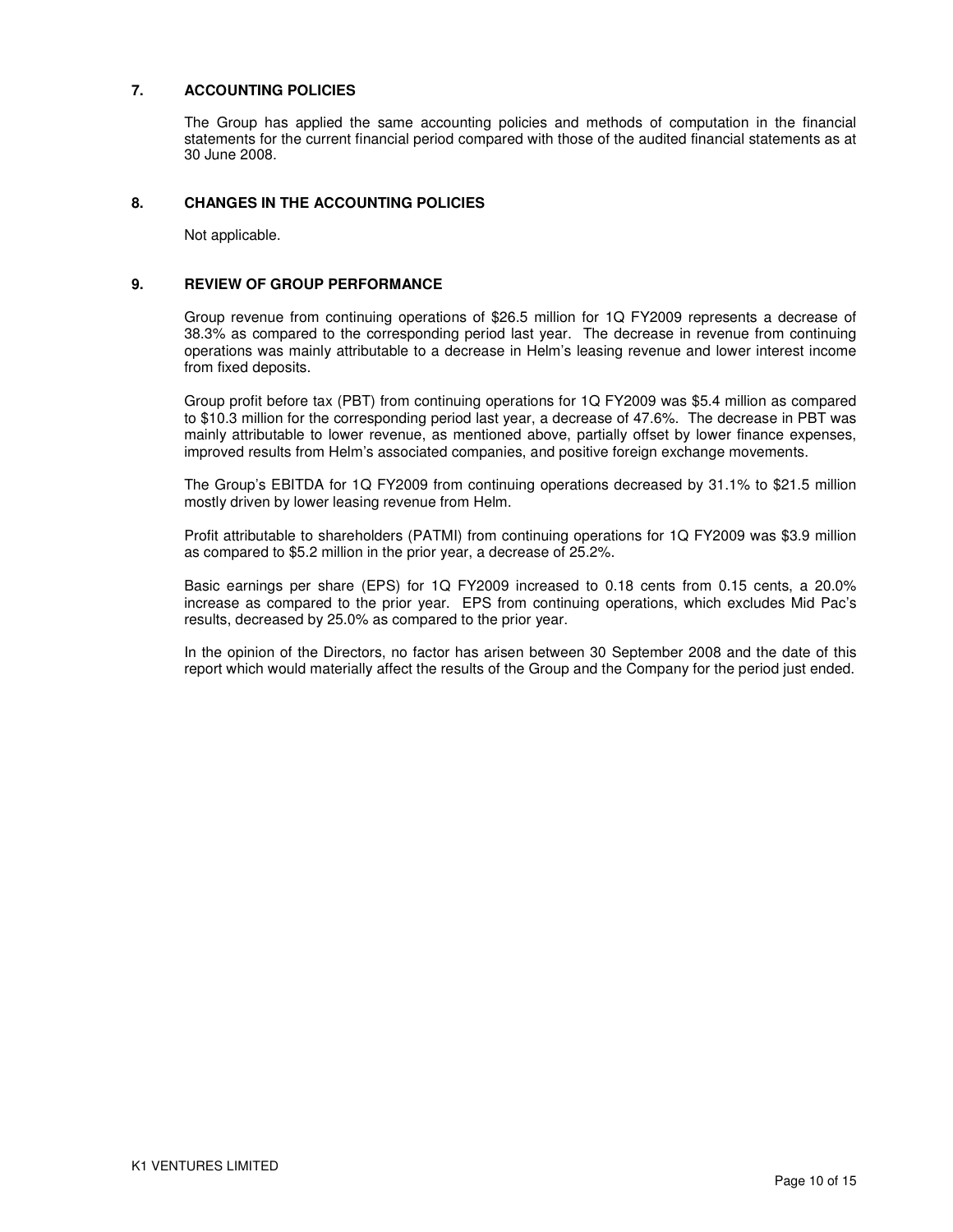## **7. ACCOUNTING POLICIES**

The Group has applied the same accounting policies and methods of computation in the financial statements for the current financial period compared with those of the audited financial statements as at 30 June 2008.

### **8. CHANGES IN THE ACCOUNTING POLICIES**

Not applicable.

### **9. REVIEW OF GROUP PERFORMANCE**

Group revenue from continuing operations of \$26.5 million for 1Q FY2009 represents a decrease of 38.3% as compared to the corresponding period last year. The decrease in revenue from continuing operations was mainly attributable to a decrease in Helm's leasing revenue and lower interest income from fixed deposits.

Group profit before tax (PBT) from continuing operations for 1Q FY2009 was \$5.4 million as compared to \$10.3 million for the corresponding period last year, a decrease of 47.6%. The decrease in PBT was mainly attributable to lower revenue, as mentioned above, partially offset by lower finance expenses, improved results from Helm's associated companies, and positive foreign exchange movements.

The Group's EBITDA for 1Q FY2009 from continuing operations decreased by 31.1% to \$21.5 million mostly driven by lower leasing revenue from Helm.

Profit attributable to shareholders (PATMI) from continuing operations for 1Q FY2009 was \$3.9 million as compared to \$5.2 million in the prior year, a decrease of 25.2%.

Basic earnings per share (EPS) for 1Q FY2009 increased to 0.18 cents from 0.15 cents, a 20.0% increase as compared to the prior year. EPS from continuing operations, which excludes Mid Pac's results, decreased by 25.0% as compared to the prior year.

In the opinion of the Directors, no factor has arisen between 30 September 2008 and the date of this report which would materially affect the results of the Group and the Company for the period just ended.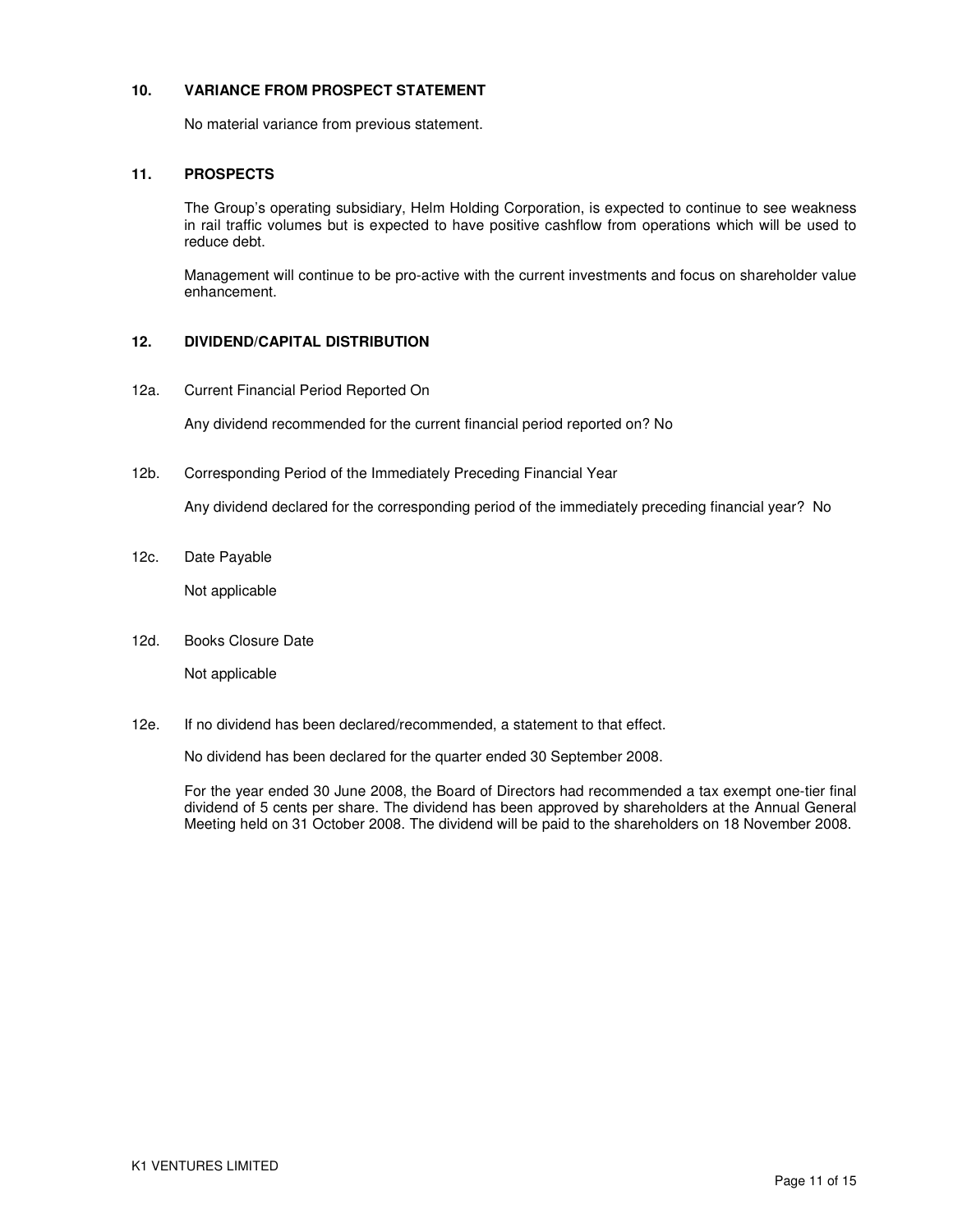## **10. VARIANCE FROM PROSPECT STATEMENT**

No material variance from previous statement.

## **11. PROSPECTS**

The Group's operating subsidiary, Helm Holding Corporation, is expected to continue to see weakness in rail traffic volumes but is expected to have positive cashflow from operations which will be used to reduce debt.

Management will continue to be pro-active with the current investments and focus on shareholder value enhancement.

## **12. DIVIDEND/CAPITAL DISTRIBUTION**

12a. Current Financial Period Reported On

Any dividend recommended for the current financial period reported on? No

12b. Corresponding Period of the Immediately Preceding Financial Year

Any dividend declared for the corresponding period of the immediately preceding financial year? No

12c. Date Payable

Not applicable

12d. Books Closure Date

Not applicable

12e. If no dividend has been declared/recommended, a statement to that effect.

No dividend has been declared for the quarter ended 30 September 2008.

For the year ended 30 June 2008, the Board of Directors had recommended a tax exempt one-tier final dividend of 5 cents per share. The dividend has been approved by shareholders at the Annual General Meeting held on 31 October 2008. The dividend will be paid to the shareholders on 18 November 2008.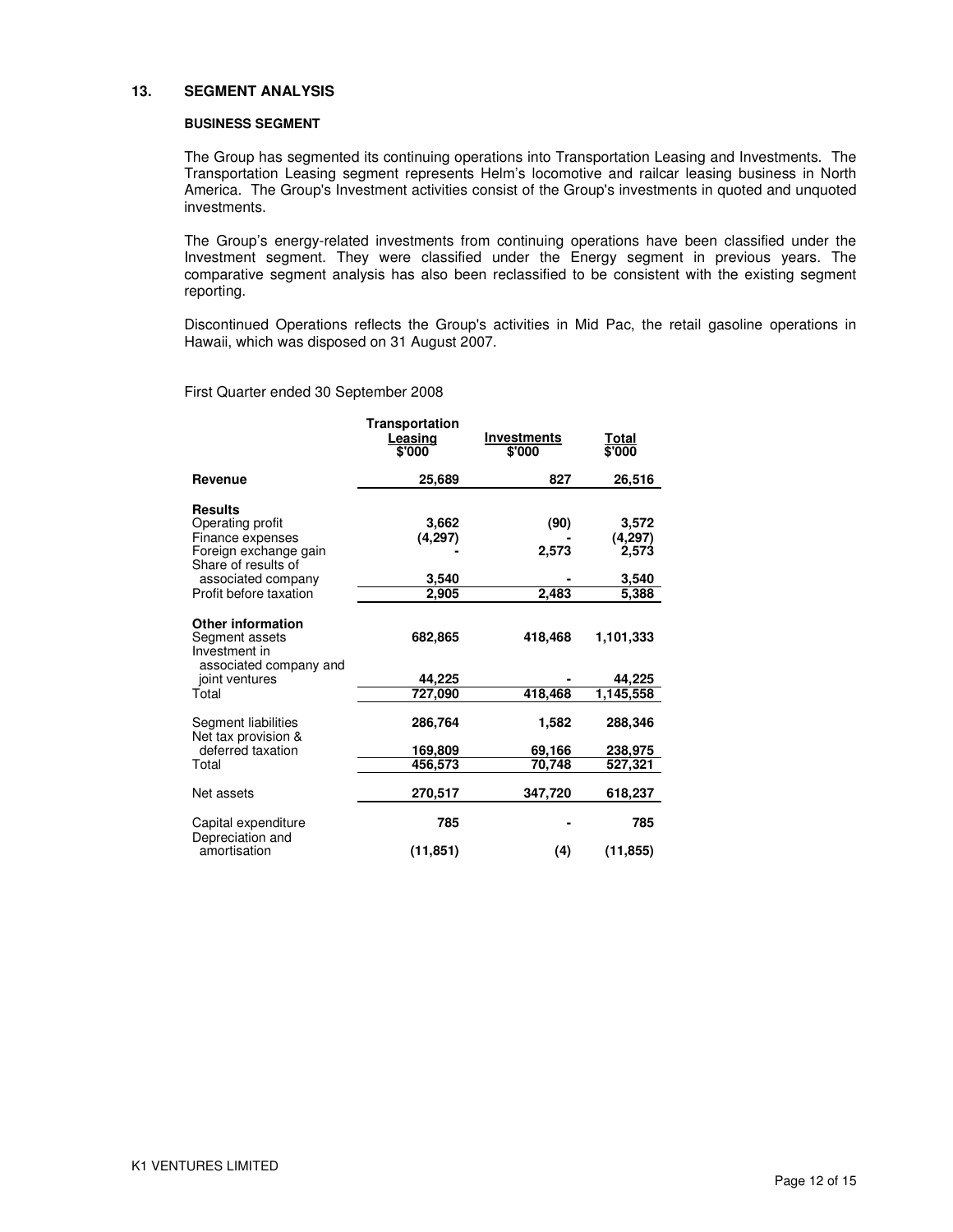### **13. SEGMENT ANALYSIS**

### **BUSINESS SEGMENT**

The Group has segmented its continuing operations into Transportation Leasing and Investments. The Transportation Leasing segment represents Helm's locomotive and railcar leasing business in North America. The Group's Investment activities consist of the Group's investments in quoted and unquoted investments.

The Group's energy-related investments from continuing operations have been classified under the Investment segment. They were classified under the Energy segment in previous years. The comparative segment analysis has also been reclassified to be consistent with the existing segment reporting.

Discontinued Operations reflects the Group's activities in Mid Pac, the retail gasoline operations in Hawaii, which was disposed on 31 August 2007.

First Quarter ended 30 September 2008

|                                                                                                                              | Transportation<br>Leasing<br>\$'000 | <b>Investments</b><br>\$'000 | Total<br>\$'000                    |
|------------------------------------------------------------------------------------------------------------------------------|-------------------------------------|------------------------------|------------------------------------|
| Revenue                                                                                                                      | 25,689                              | 827                          | 26,516                             |
| <b>Results</b><br>Operating profit<br>Finance expenses<br>Foreign exchange gain<br>Share of results of<br>associated company | 3,662<br>(4,297)<br>3,540           | (90)<br>2,573                | 3,572<br>(4,297)<br>2,573<br>3,540 |
| Profit before taxation                                                                                                       | 2,905                               | 2,483                        | 5,388                              |
| <b>Other information</b><br>Segment assets<br>Investment in<br>associated company and<br>joint ventures<br>Total             | 682,865<br>44,225<br>727,090        | 418,468<br>418,468           | 1,101,333<br>44,225<br>1,145,558   |
| Segment liabilities<br>Net tax provision &<br>deferred taxation                                                              | 286,764<br>169,809                  | 1,582<br>69,166              | 288,346<br>238,975                 |
| Total                                                                                                                        | 456,573                             | 70,748                       | 527,321                            |
| Net assets                                                                                                                   | 270,517                             | 347,720                      | 618,237                            |
| Capital expenditure<br>Depreciation and                                                                                      | 785                                 |                              | 785                                |
| amortisation                                                                                                                 | (11, 851)                           | (4)                          | (11, 855)                          |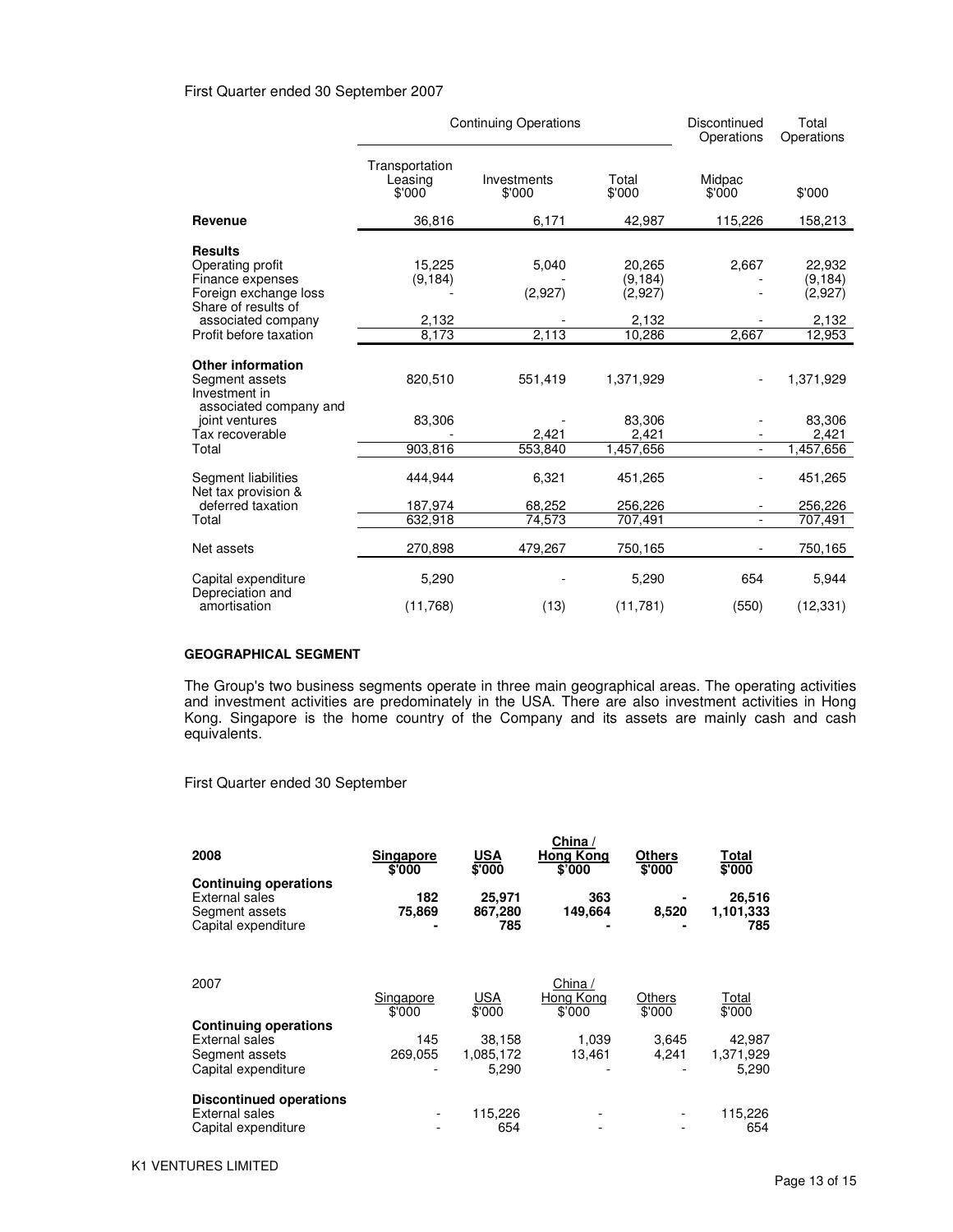## First Quarter ended 30 September 2007

|                                                                                                        | <b>Continuing Operations</b>        |                       |                               | Discontinued<br>Operations | Total<br>Operations           |
|--------------------------------------------------------------------------------------------------------|-------------------------------------|-----------------------|-------------------------------|----------------------------|-------------------------------|
|                                                                                                        | Transportation<br>Leasing<br>\$'000 | Investments<br>\$'000 | Total<br>\$'000               | Midpac<br>\$'000           | \$'000                        |
| Revenue                                                                                                | 36,816                              | 6,171                 | 42,987                        | 115,226                    | 158,213                       |
| <b>Results</b><br>Operating profit<br>Finance expenses<br>Foreign exchange loss<br>Share of results of | 15.225<br>(9, 184)                  | 5,040<br>(2,927)      | 20.265<br>(9, 184)<br>(2,927) | 2,667                      | 22.932<br>(9, 184)<br>(2,927) |
| associated company                                                                                     | 2,132                               |                       | 2,132                         |                            | 2,132                         |
| Profit before taxation                                                                                 | 8.173                               | 2,113                 | 10,286                        | 2,667                      | 12,953                        |
| <b>Other information</b><br>Segment assets<br>Investment in<br>associated company and                  | 820,510                             | 551,419               | 1,371,929                     |                            | 1,371,929                     |
| joint ventures                                                                                         | 83,306                              |                       | 83,306                        |                            | 83,306                        |
| Tax recoverable                                                                                        |                                     | 2,421                 | 2,421                         | $\mathbf{r}$               | 2,421                         |
| Total                                                                                                  | 903,816                             | 553,840               | 1,457,656                     |                            | 1,457,656                     |
| Segment liabilities<br>Net tax provision &                                                             | 444,944                             | 6,321                 | 451,265                       |                            | 451,265                       |
| deferred taxation                                                                                      | 187,974                             | 68,252                | 256,226                       |                            | 256,226                       |
| Total                                                                                                  | 632,918                             | 74,573                | 707,491                       |                            | 707.491                       |
| Net assets                                                                                             | 270,898                             | 479,267               | 750,165                       |                            | 750,165                       |
| Capital expenditure<br>Depreciation and                                                                | 5,290                               |                       | 5,290                         | 654                        | 5,944                         |
| amortisation                                                                                           | (11,768)                            | (13)                  | (11, 781)                     | (550)                      | (12, 331)                     |

### **GEOGRAPHICAL SEGMENT**

The Group's two business segments operate in three main geographical areas. The operating activities and investment activities are predominately in the USA. There are also investment activities in Hong Kong. Singapore is the home country of the Company and its assets are mainly cash and cash equivalents.

First Quarter ended 30 September

| 2008<br><b>Continuing operations</b><br>External sales<br>Segment assets<br>Capital expenditure | Singapore<br>\$'000<br>182<br>75,869 | <b>USA</b><br>\$'000<br>25,971<br>867,280<br>785 | China $/$<br><b>Hong Kong</b><br>\$'000<br>363<br>149,664 | <b>Others</b><br>\$'000<br>8,520 | Total<br>\$'000<br>26,516<br>1,101,333<br>785 |
|-------------------------------------------------------------------------------------------------|--------------------------------------|--------------------------------------------------|-----------------------------------------------------------|----------------------------------|-----------------------------------------------|
| 2007                                                                                            | Singapore<br>\$'000                  | USA<br>\$'000                                    | China /<br>Hong Kong<br>\$'000                            | Others<br>\$'000                 | Total<br>\$'000                               |
| <b>Continuing operations</b><br>External sales<br>Segment assets<br>Capital expenditure         | 145<br>269,055                       | 38,158<br>1,085,172<br>5,290                     | 1.039<br>13.461                                           | 3.645<br>4,241                   | 42,987<br>1,371,929<br>5,290                  |
| <b>Discontinued operations</b><br>External sales<br>Capital expenditure                         |                                      | 115,226<br>654                                   |                                                           |                                  | 115,226<br>654                                |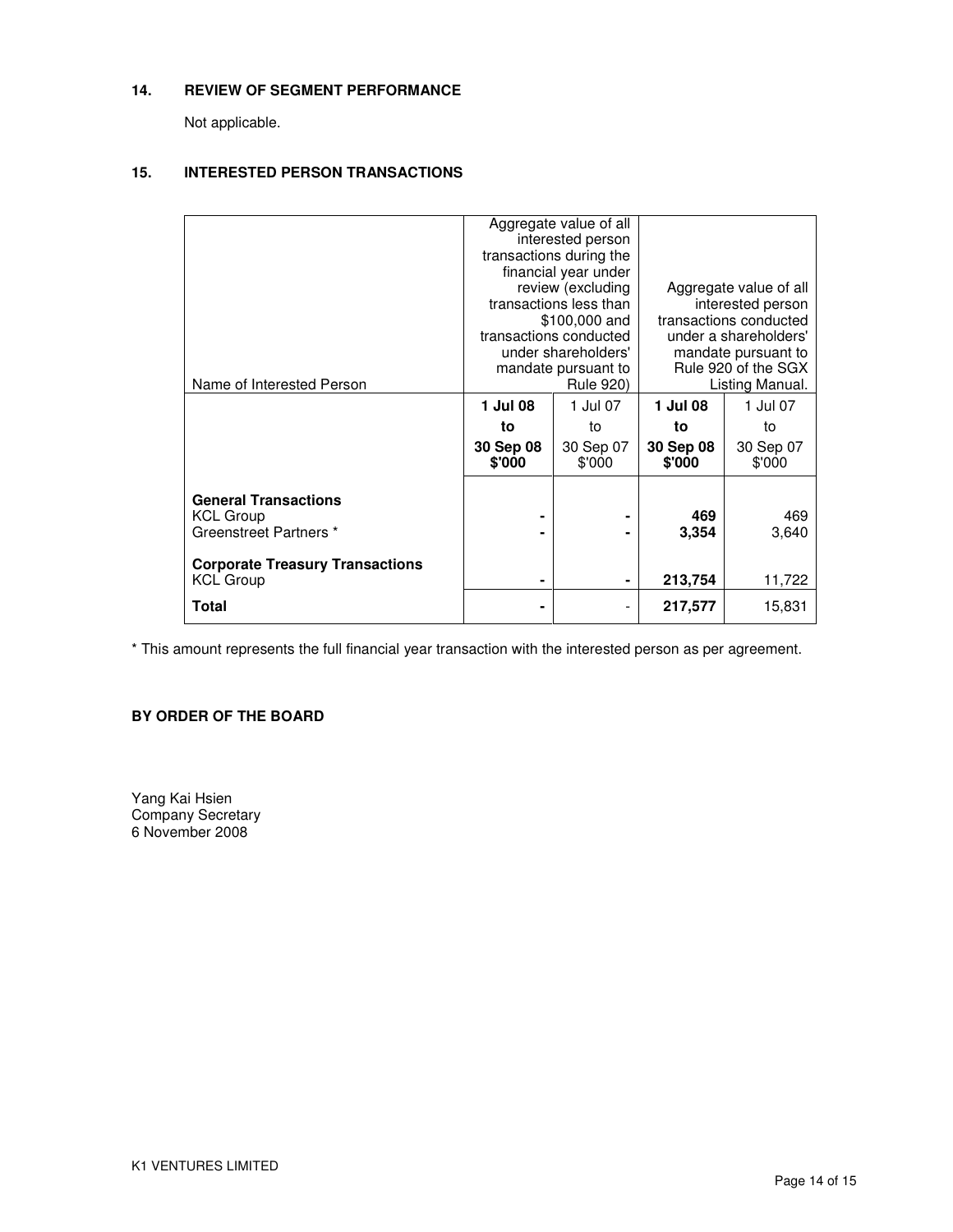# **14. REVIEW OF SEGMENT PERFORMANCE**

Not applicable.

# **15. INTERESTED PERSON TRANSACTIONS**

| Name of Interested Person                                                 |                     | Aggregate value of all<br>interested person<br>transactions during the<br>financial year under<br>review (excluding<br>transactions less than<br>\$100,000 and<br>transactions conducted<br>under shareholders'<br>mandate pursuant to<br><b>Rule 920)</b> |                     | Aggregate value of all<br>interested person<br>transactions conducted<br>under a shareholders'<br>mandate pursuant to<br>Rule 920 of the SGX<br>Listing Manual. |  |  |
|---------------------------------------------------------------------------|---------------------|------------------------------------------------------------------------------------------------------------------------------------------------------------------------------------------------------------------------------------------------------------|---------------------|-----------------------------------------------------------------------------------------------------------------------------------------------------------------|--|--|
|                                                                           | 1 Jul 08            | 1 Jul 07                                                                                                                                                                                                                                                   | 1 Jul 08            | 1 Jul 07                                                                                                                                                        |  |  |
|                                                                           | to                  | to                                                                                                                                                                                                                                                         | to                  | to                                                                                                                                                              |  |  |
|                                                                           | 30 Sep 08<br>\$'000 | 30 Sep 07<br>\$'000                                                                                                                                                                                                                                        | 30 Sep 08<br>\$'000 | 30 Sep 07<br>\$'000                                                                                                                                             |  |  |
| <b>General Transactions</b><br><b>KCL Group</b><br>Greenstreet Partners * |                     |                                                                                                                                                                                                                                                            | 469<br>3,354        | 469<br>3,640                                                                                                                                                    |  |  |
| <b>Corporate Treasury Transactions</b><br><b>KCL Group</b>                | ۰                   | ۰                                                                                                                                                                                                                                                          | 213,754             | 11,722                                                                                                                                                          |  |  |
| Total                                                                     |                     | $\overline{a}$                                                                                                                                                                                                                                             | 217,577             | 15,831                                                                                                                                                          |  |  |

\* This amount represents the full financial year transaction with the interested person as per agreement.

# **BY ORDER OF THE BOARD**

Yang Kai Hsien Company Secretary 6 November 2008